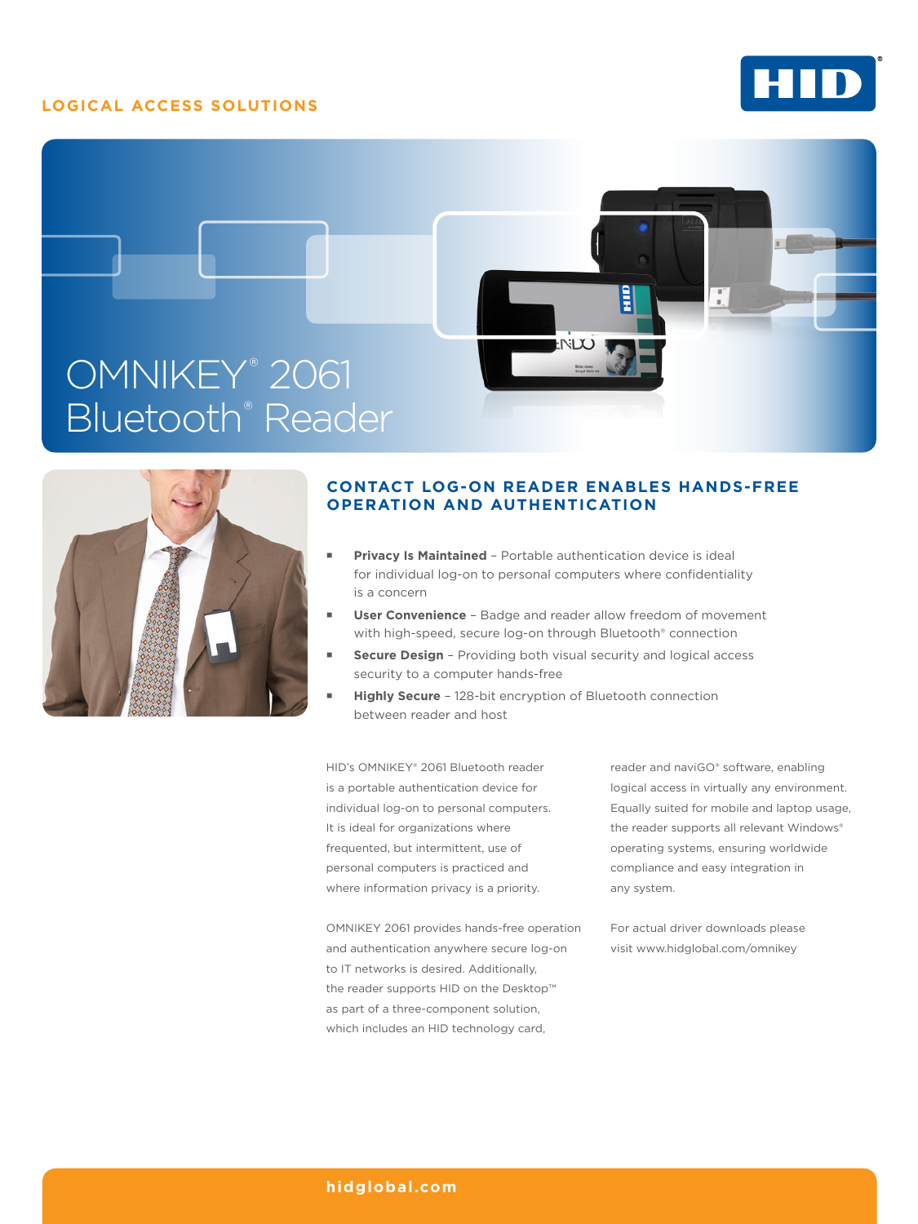## **LOGICAL ACCESS SOLUTIONS**







## **CONTACT LOG-ON READER ENABLES HANDS-FREE OPERATION AND AUTHENTICATION**

- **Privacy Is Maintained**  Portable authentication device is ideal for individual log-on to personal computers where confidentiality is a concern
- **User Convenience**  Badge and reader allow freedom of movement with high-speed, secure log-on through Bluetooth® connection
- **Secure Design**  Providing both visual security and logical access security to a computer hands-free
- **Highly Secure**  128-bit encryption of Bluetooth connection between reader and host

HID's OMNIKEY® 2061 Bluetooth reader is a portable authentication device for individual log-on to personal computers. It is ideal for organizations where frequented, but intermittent, use of personal computers is practiced and where information privacy is a priority.

OMNIKEY 2061 provides hands-free operation and authentication anywhere secure log-on to IT networks is desired. Additionally, the reader supports HID on the Desktop™ as part of a three-component solution, which includes an HID technology card,

reader and naviGO® software, enabling logical access in virtually any environment. Equally suited for mobile and laptop usage, the reader supports all relevant Windows® operating systems, ensuring worldwide compliance and easy integration in any system.

For actual driver downloads please visit www.hidglobal.com/omnikey

#### **[hidglobal.com](http://www.hidglobal.com)**